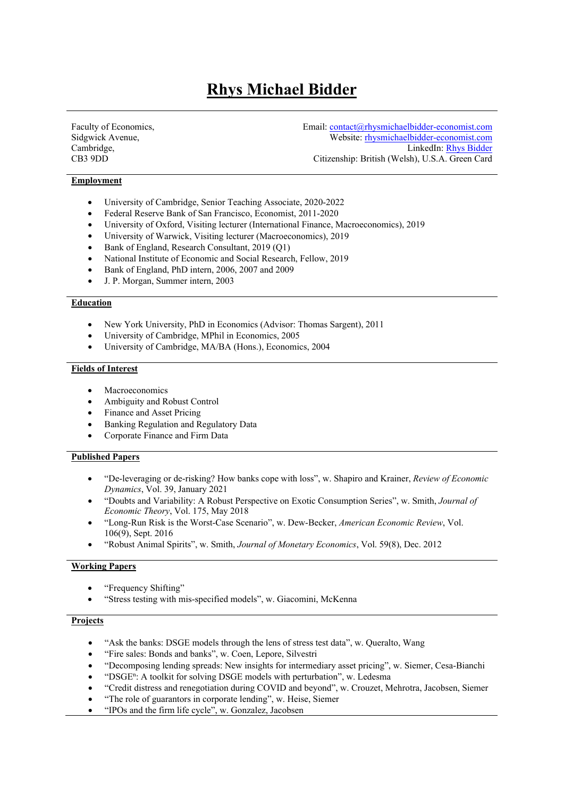# **Rhys Michael Bidder**

Faculty of Economics, Sidgwick Avenue, Cambridge, CB3 9DD

Email: contact@rhysmichaelbidder-economist.com Website: rhysmichaelbidder-economist.com LinkedIn: Rhys Bidder Citizenship: British (Welsh), U.S.A. Green Card

# **Employment**

- University of Cambridge, Senior Teaching Associate, 2020-2022
- Federal Reserve Bank of San Francisco, Economist, 2011-2020
- University of Oxford, Visiting lecturer (International Finance, Macroeconomics), 2019
- University of Warwick, Visiting lecturer (Macroeconomics), 2019
- Bank of England, Research Consultant, 2019 (Q1)
- National Institute of Economic and Social Research, Fellow, 2019
- Bank of England, PhD intern, 2006, 2007 and 2009
- J. P. Morgan, Summer intern, 2003

## **Education**

- New York University, PhD in Economics (Advisor: Thomas Sargent), 2011
- University of Cambridge, MPhil in Economics, 2005
- University of Cambridge, MA/BA (Hons.), Economics, 2004

#### **Fields of Interest**

- Macroeconomics
- Ambiguity and Robust Control
- Finance and Asset Pricing
- Banking Regulation and Regulatory Data
- Corporate Finance and Firm Data

## **Published Papers**

- "De-leveraging or de-risking? How banks cope with loss", w. Shapiro and Krainer, *Review of Economic Dynamics*, Vol. 39, January 2021
- "Doubts and Variability: A Robust Perspective on Exotic Consumption Series", w. Smith, *Journal of Economic Theory*, Vol. 175, May 2018
- "Long-Run Risk is the Worst-Case Scenario", w. Dew-Becker, *American Economic Review*, Vol. 106(9), Sept. 2016
- "Robust Animal Spirits", w. Smith, *Journal of Monetary Economics*, Vol. 59(8), Dec. 2012

## **Working Papers**

- "Frequency Shifting"
- "Stress testing with mis-specified models", w. Giacomini, McKenna

## **Projects**

- "Ask the banks: DSGE models through the lens of stress test data", w. Queralto, Wang
- "Fire sales: Bonds and banks", w. Coen, Lepore, Silvestri
- "Decomposing lending spreads: New insights for intermediary asset pricing", w. Siemer, Cesa-Bianchi
- "DSGE<sup>n</sup> : A toolkit for solving DSGE models with perturbation", w. Ledesma
- "Credit distress and renegotiation during COVID and beyond", w. Crouzet, Mehrotra, Jacobsen, Siemer
- "The role of guarantors in corporate lending", w. Heise, Siemer
- "IPOs and the firm life cycle", w. Gonzalez, Jacobsen